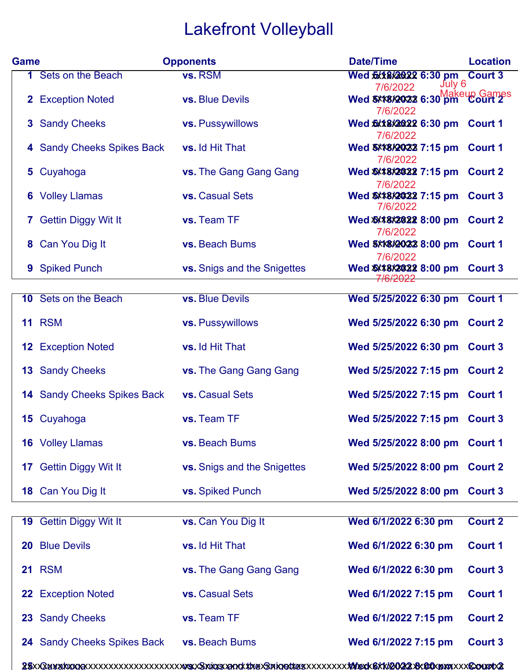## Lakefront Volleyball

| <b>Game</b> |                                    | <b>Opponents</b>                   | <b>Date/Time</b>                                                     | <b>Location</b> |
|-------------|------------------------------------|------------------------------------|----------------------------------------------------------------------|-----------------|
|             | 1 Sets on the Beach                | vs. RSM                            | Wed <b>\$X18X2022 6:30 pm</b> Court 3<br>7/6/2022 July 6<br>7/6/2022 |                 |
|             | 2 Exception Noted                  | <b>vs.</b> Blue Devils             | Wed <b>8X48X2022</b> 6:30 pm Court 2<br>7/6/2022                     |                 |
|             | 3 Sandy Cheeks                     | vs. Pussywillows                   | Wed \$XX8X2022 6:30 pm Court 1<br>7/6/2022                           |                 |
|             | 4 Sandy Cheeks Spikes Back         | vs. Id Hit That                    | Wed 3XX8X20X22 7:15 pm Court 1<br>7/6/2022                           |                 |
|             | 5 Cuyahoga                         | vs. The Gang Gang Gang             | Wed \$X*8X2022 7:15 pm Court 2<br>7/6/2022                           |                 |
|             | <b>6</b> Volley Llamas             | vs. Casual Sets                    | Wed \$XX8X2022 7:15 pm Court 3<br>7/6/2022                           |                 |
|             | 7 Gettin Diggy Wit It              | vs. Team TF                        | Wed \$XX8X2022 8:00 pm Court 2<br>7/6/2022                           |                 |
|             | 8 Can You Dig It                   | vs. Beach Bums                     | Wed 8XX8X20X23 8:00 pm Court 1                                       |                 |
|             | <b>9</b> Spiked Punch              | <b>vs.</b> Snigs and the Snigettes | 7/6/2022<br>Wed \$X*8X2022 8:00 pm Court 3<br>7/6/2022               |                 |
|             |                                    |                                    |                                                                      |                 |
|             | 10 Sets on the Beach               | <b>vs. Blue Devils</b>             | Wed 5/25/2022 6:30 pm Court 1                                        |                 |
|             | <b>11 RSM</b>                      | vs. Pussywillows                   | Wed 5/25/2022 6:30 pm Court 2                                        |                 |
|             | <b>12 Exception Noted</b>          | vs. Id Hit That                    | Wed 5/25/2022 6:30 pm                                                | <b>Court 3</b>  |
|             | <b>13 Sandy Cheeks</b>             | vs. The Gang Gang Gang             | Wed 5/25/2022 7:15 pm Court 2                                        |                 |
|             | <b>14 Sandy Cheeks Spikes Back</b> | vs. Casual Sets                    | Wed 5/25/2022 7:15 pm Court 1                                        |                 |
|             | 15 Cuyahoga                        | vs. Team TF                        | Wed 5/25/2022 7:15 pm Court 3                                        |                 |
|             | <b>16</b> Volley Llamas            | vs. Beach Bums                     | Wed 5/25/2022 8:00 pm Court 1                                        |                 |
|             | 17 Gettin Diggy Wit It             | vs. Snigs and the Snigettes        | Wed 5/25/2022 8:00 pm                                                | <b>Court 2</b>  |
|             | 18 Can You Dig It                  | vs. Spiked Punch                   | Wed 5/25/2022 8:00 pm                                                | <b>Court 3</b>  |
|             | 19 Gettin Diggy Wit It             | vs. Can You Dig It                 | Wed 6/1/2022 6:30 pm                                                 | Court 2         |
|             | 20 Blue Devils                     | vs. Id Hit That                    | Wed 6/1/2022 6:30 pm                                                 | <b>Court 1</b>  |
|             | <b>21 RSM</b>                      | vs. The Gang Gang Gang             | Wed 6/1/2022 6:30 pm                                                 | <b>Court 3</b>  |
|             | 22 Exception Noted                 | vs. Casual Sets                    | Wed 6/1/2022 7:15 pm                                                 | <b>Court 1</b>  |
|             | 23 Sandy Cheeks                    | vs. Team TF                        | Wed 6/1/2022 7:15 pm                                                 | <b>Court 2</b>  |
|             | 24 Sandy Cheeks Spikes Back        | vs. Beach Bums                     | Wed 6/1/2022 7:15 pm                                                 | <b>Court 3</b>  |
|             |                                    |                                    |                                                                      |                 |

**25** Cuyahoga **vs.** Snigs and the Snigettes **Wed 6/1/2022 8:00 pm Court 2** xxxxxxxxxxxxxxxxxxxxxxxxxxxxxxxxxxxxxxxxxxxxxxxxxxxxxxxxxxxxxxxxxxxxxxxxxxxxxxxxxxxxxxxxxxxxxxx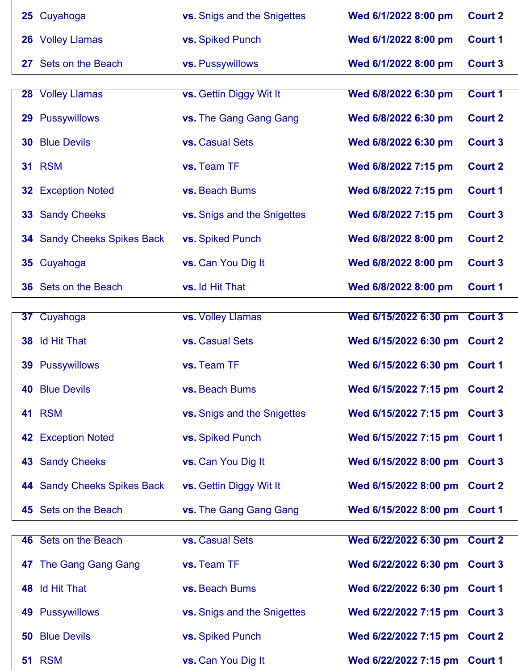|  | 25 Cuyahoga                        | vs. Snigs and the Snigettes | Wed 6/1/2022 8:00 pm          | <b>Court 2</b> |
|--|------------------------------------|-----------------------------|-------------------------------|----------------|
|  | 26 Volley Llamas                   | vs. Spiked Punch            | Wed 6/1/2022 8:00 pm          | <b>Court 1</b> |
|  | 27 Sets on the Beach               | vs. Pussywillows            | Wed 6/1/2022 8:00 pm          | <b>Court 3</b> |
|  |                                    |                             |                               |                |
|  | 28 Volley Llamas                   | vs. Gettin Diggy Wit It     | Wed 6/8/2022 6:30 pm          | Court 1        |
|  | 29 Pussywillows                    | vs. The Gang Gang Gang      | Wed 6/8/2022 6:30 pm          | <b>Court 2</b> |
|  | <b>30 Blue Devils</b>              | vs. Casual Sets             | Wed 6/8/2022 6:30 pm          | <b>Court 3</b> |
|  | <b>31 RSM</b>                      | vs. Team TF                 | Wed 6/8/2022 7:15 pm          | <b>Court 2</b> |
|  | <b>32 Exception Noted</b>          | vs. Beach Bums              | Wed 6/8/2022 7:15 pm          | <b>Court 1</b> |
|  | <b>33 Sandy Cheeks</b>             | vs. Snigs and the Snigettes | Wed 6/8/2022 7:15 pm          | <b>Court 3</b> |
|  | <b>34</b> Sandy Cheeks Spikes Back | vs. Spiked Punch            | Wed 6/8/2022 8:00 pm          | <b>Court 2</b> |
|  | 35 Cuyahoga                        | vs. Can You Dig It          | Wed 6/8/2022 8:00 pm          | <b>Court 3</b> |
|  | <b>36</b> Sets on the Beach        | vs. Id Hit That             | Wed 6/8/2022 8:00 pm          | <b>Court 1</b> |
|  |                                    |                             |                               |                |
|  | 37 Cuyahoga                        | vs. Volley Llamas           | Wed 6/15/2022 6:30 pm Court 3 |                |
|  | 38 Id Hit That                     | vs. Casual Sets             | Wed 6/15/2022 6:30 pm Court 2 |                |
|  | <b>39 Pussywillows</b>             | vs. Team TF                 | Wed 6/15/2022 6:30 pm Court 1 |                |
|  | <b>40 Blue Devils</b>              | vs. Beach Bums              | Wed 6/15/2022 7:15 pm Court 2 |                |
|  | <b>41 RSM</b>                      | vs. Snigs and the Snigettes | Wed 6/15/2022 7:15 pm Court 3 |                |
|  | <b>42 Exception Noted</b>          | vs. Spiked Punch            | Wed 6/15/2022 7:15 pm Court 1 |                |
|  | <b>43 Sandy Cheeks</b>             | vs. Can You Dig It          | Wed 6/15/2022 8:00 pm Court 3 |                |
|  | 44 Sandy Cheeks Spikes Back        | vs. Gettin Diggy Wit It     | Wed 6/15/2022 8:00 pm Court 2 |                |
|  | 45 Sets on the Beach               | vs. The Gang Gang Gang      | Wed 6/15/2022 8:00 pm Court 1 |                |
|  |                                    |                             |                               |                |
|  | 46 Sets on the Beach               | vs. Casual Sets             | Wed 6/22/2022 6:30 pm Court 2 |                |
|  | 47 The Gang Gang Gang              | vs. Team TF                 | Wed 6/22/2022 6:30 pm Court 3 |                |
|  | 48 Id Hit That                     | vs. Beach Bums              | Wed 6/22/2022 6:30 pm Court 1 |                |
|  | <b>49 Pussywillows</b>             | vs. Snigs and the Snigettes | Wed 6/22/2022 7:15 pm Court 3 |                |
|  | <b>50 Blue Devils</b>              | vs. Spiked Punch            | Wed 6/22/2022 7:15 pm Court 2 |                |
|  | <b>51 RSM</b>                      | vs. Can You Dig It          | Wed 6/22/2022 7:15 pm Court 1 |                |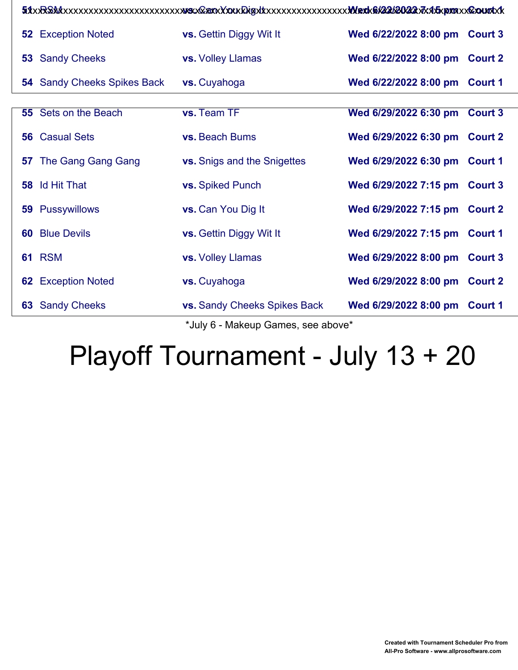|  | <b>52 Exception Noted</b>          | <b>vs.</b> Gettin Diggy Wit It      | Wed 6/22/2022 8:00 pm Court 3 |  |
|--|------------------------------------|-------------------------------------|-------------------------------|--|
|  | <b>53 Sandy Cheeks</b>             | vs. Volley Llamas                   | Wed 6/22/2022 8:00 pm Court 2 |  |
|  | <b>54</b> Sandy Cheeks Spikes Back | vs. Cuyahoga                        | Wed 6/22/2022 8:00 pm Court 1 |  |
|  |                                    |                                     |                               |  |
|  | 55 Sets on the Beach               | vs. Team TF                         | Wed 6/29/2022 6:30 pm Court 3 |  |
|  | <b>56</b> Casual Sets              | vs. Beach Bums                      | Wed 6/29/2022 6:30 pm Court 2 |  |
|  | <b>57</b> The Gang Gang Gang       | <b>vs.</b> Snigs and the Snigettes  | Wed 6/29/2022 6:30 pm Court 1 |  |
|  | <b>58</b> Id Hit That              | vs. Spiked Punch                    | Wed 6/29/2022 7:15 pm Court 3 |  |
|  | <b>59 Pussywillows</b>             | <b>vs.</b> Can You Dig It           | Wed 6/29/2022 7:15 pm Court 2 |  |
|  | <b>60 Blue Devils</b>              | <b>vs.</b> Gettin Diggy Wit It      | Wed 6/29/2022 7:15 pm Court 1 |  |
|  | <b>61 RSM</b>                      | <b>vs.</b> Volley Llamas            | Wed 6/29/2022 8:00 pm Court 3 |  |
|  | <b>62 Exception Noted</b>          | vs. Cuyahoga                        | Wed 6/29/2022 8:00 pm Court 2 |  |
|  | <b>63 Sandy Cheeks</b>             | <b>vs.</b> Sandy Cheeks Spikes Back | Wed 6/29/2022 8:00 pm Court 1 |  |

\*July 6 - Makeup Games, see above\*

## Playoff Tournament - July 13 + 20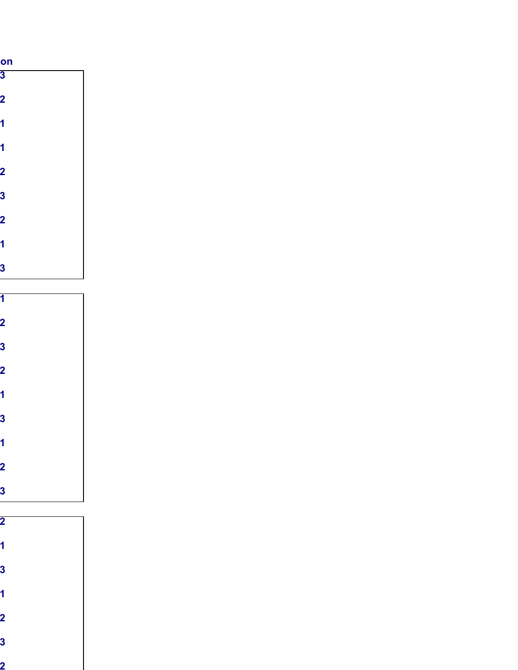| on                      |  |
|-------------------------|--|
| $\overline{\mathbf{3}}$ |  |
| າ                       |  |
|                         |  |
|                         |  |
|                         |  |
|                         |  |
|                         |  |
| 3                       |  |
| 2                       |  |
|                         |  |
|                         |  |
| 3                       |  |
|                         |  |
|                         |  |
|                         |  |
|                         |  |
| 3                       |  |
| 7                       |  |
|                         |  |
|                         |  |
| Ο,                      |  |
|                         |  |
| 1                       |  |
| $\overline{\mathbf{2}}$ |  |
| 3                       |  |
|                         |  |
| $\overline{\mathbf{2}}$ |  |
|                         |  |
| 1                       |  |
| 3                       |  |
|                         |  |
| 1                       |  |
| $\mathbf{2}$            |  |

Sandy Cheeks Spikes Back **vs.** Beach Bums **Wed 6/1/2022 7:15 pm Court 3**

Cuyahoga **vs.** Snigs and the Snigettes **Wed 6/1/2022 8:00 pm Court 2**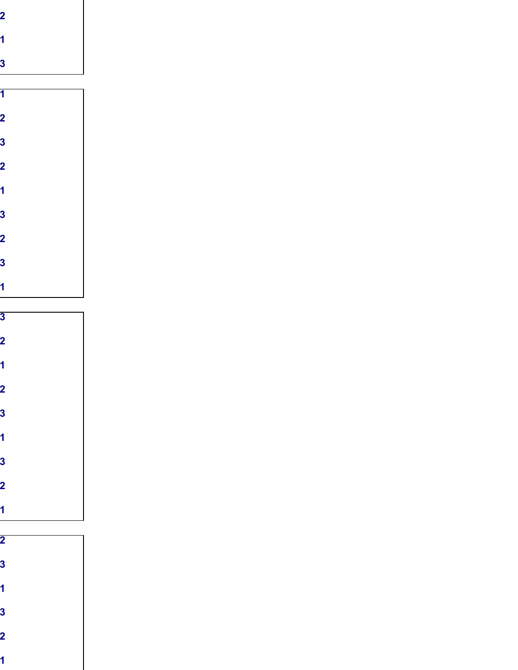|  | 0                       |
|--|-------------------------|
|  | 3                       |
|  | $\overline{\mathbf{2}}$ |
|  |                         |
|  | 3                       |
|  | $\overline{\mathbf{2}}$ |
|  | 3                       |
|  |                         |

Sets on the Beach **vs.** Id Hit That **Wed 6/8/2022 8:00 pm Court 1**

RSM **vs.** Can You Dig It **Wed 6/22/2022 7:15 pm Court 1**

| 3                       |
|-------------------------|
| $\overline{\mathbf{2}}$ |
|                         |
| 2                       |
| 3                       |
| 1                       |
| 3                       |
| 2                       |
|                         |
|                         |

| ъ.<br>w |  |
|---------|--|
|         |  |
| ÷       |  |
|         |  |
|         |  |